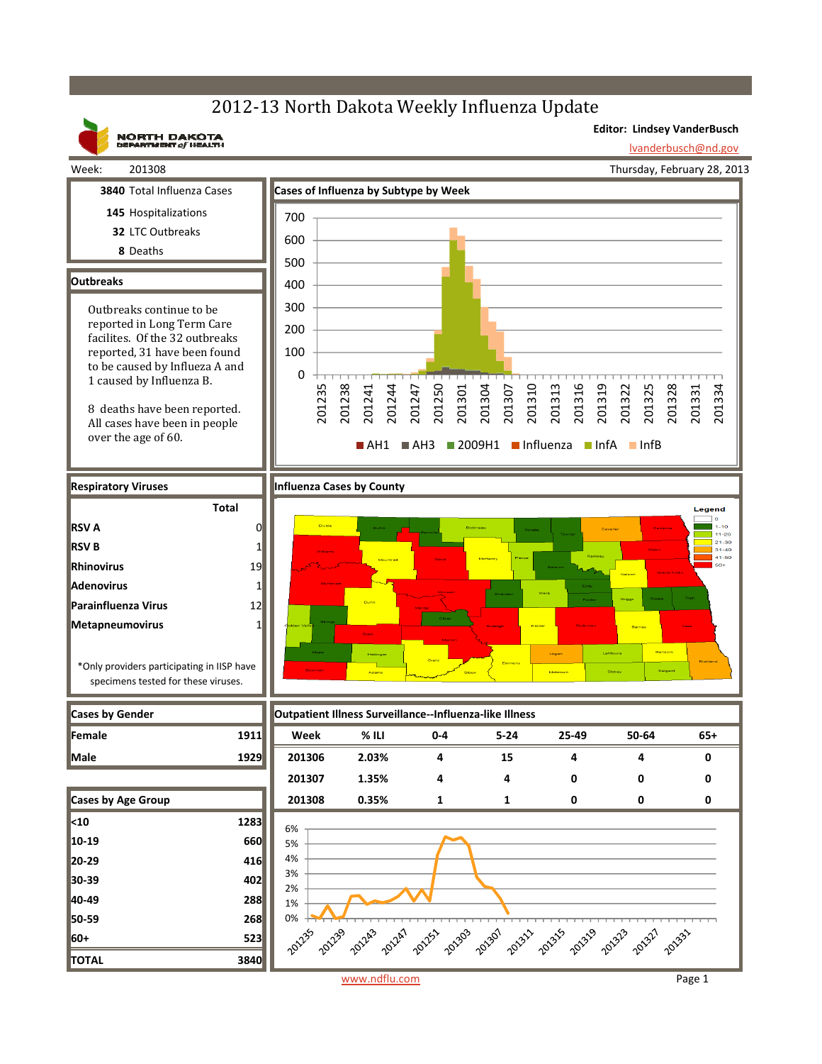## 2012-13 North Dakota Weekly Influenza Update



www.ndflu.com Page 1